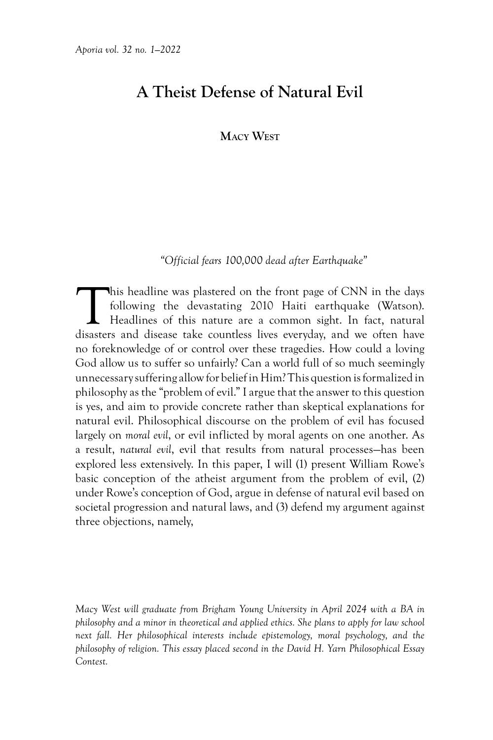# **A Theist Defense of Natural Evil**

# **Macy West**

# *"Official fears 100,000 dead after Earthquake"*

This headline was plastered on the front page of CNN in the days<br>following the devastating 2010 Haiti earthquake (Watson).<br>Headlines of this nature are a common sight. In fact, natural<br>disasters and disease take countless following the devastating 2010 Haiti earthquake (Watson). Headlines of this nature are a common sight. In fact, natural disasters and disease take countless lives everyday, and we often have no foreknowledge of or control over these tragedies. How could a loving God allow us to suffer so unfairly? Can a world full of so much seemingly unnecessary suffering allow for belief in Him? This question is formalized in philosophy as the "problem of evil." I argue that the answer to this question is yes, and aim to provide concrete rather than skeptical explanations for natural evil. Philosophical discourse on the problem of evil has focused largely on *moral evil*, or evil inflicted by moral agents on one another. As a result, *natural evil*, evil that results from natural processes—has been explored less extensively. In this paper, I will (1) present William Rowe's basic conception of the atheist argument from the problem of evil, (2) under Rowe's conception of God, argue in defense of natural evil based on societal progression and natural laws, and (3) defend my argument against three objections, namely,

*Macy West will graduate from Brigham Young University in April 2024 with a BA in philosophy and a minor in theoretical and applied ethics. She plans to apply for law school next fall. Her philosophical interests include epistemology, moral psychology, and the philosophy of religion. This essay placed second in the David H. Yarn Philosophical Essay Contest.*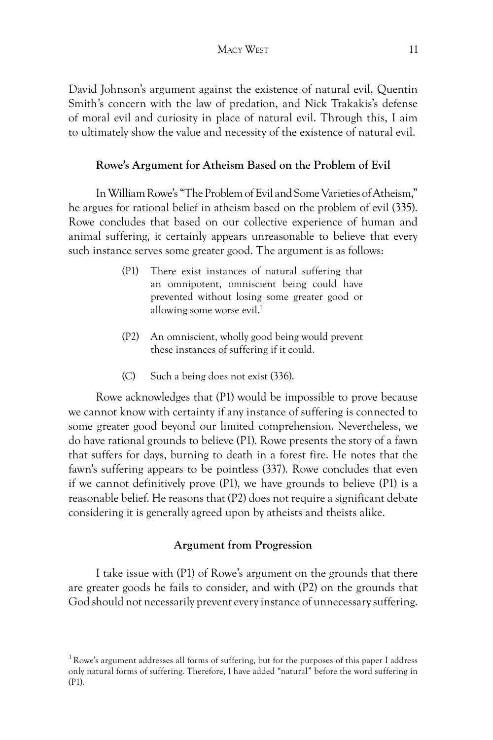David Johnson's argument against the existence of natural evil, Quentin Smith's concern with the law of predation, and Nick Trakakis's defense of moral evil and curiosity in place of natural evil. Through this, I aim to ultimately show the value and necessity of the existence of natural evil.

#### **Rowe's Argument for Atheism Based on the Problem of Evil**

In William Rowe's "The Problem of Evil and Some Varieties of Atheism," he argues for rational belief in atheism based on the problem of evil (335). Rowe concludes that based on our collective experience of human and animal suffering, it certainly appears unreasonable to believe that every such instance serves some greater good. The argument is as follows:

- (P1) There exist instances of natural suffering that an omnipotent, omniscient being could have prevented without losing some greater good or allowing some worse evil.<sup>1</sup>
- (P2) An omniscient, wholly good being would prevent these instances of suffering if it could.
- (C) Such a being does not exist (336).

Rowe acknowledges that (P1) would be impossible to prove because we cannot know with certainty if any instance of suffering is connected to some greater good beyond our limited comprehension. Nevertheless, we do have rational grounds to believe (P1). Rowe presents the story of a fawn that suffers for days, burning to death in a forest fire. He notes that the fawn's suffering appears to be pointless (337). Rowe concludes that even if we cannot definitively prove (P1), we have grounds to believe (P1) is a reasonable belief. He reasons that (P2) does not require a significant debate considering it is generally agreed upon by atheists and theists alike.

### **Argument from Progression**

I take issue with (P1) of Rowe's argument on the grounds that there are greater goods he fails to consider, and with (P2) on the grounds that God should not necessarily prevent every instance of unnecessary suffering.

<sup>&</sup>lt;sup>1</sup> Rowe's argument addresses all forms of suffering, but for the purposes of this paper I address only natural forms of suffering. Therefore, I have added "natural" before the word suffering in (P1).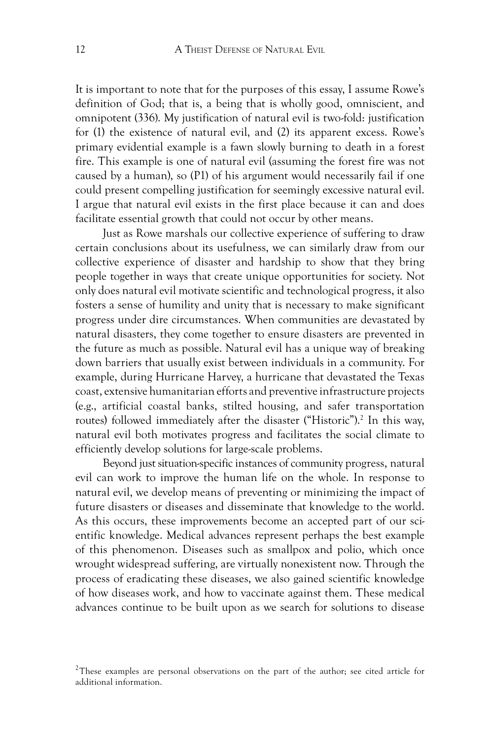It is important to note that for the purposes of this essay, I assume Rowe's definition of God; that is, a being that is wholly good, omniscient, and omnipotent (336). My justification of natural evil is two-fold: justification for (1) the existence of natural evil, and (2) its apparent excess. Rowe's primary evidential example is a fawn slowly burning to death in a forest fire. This example is one of natural evil (assuming the forest fire was not caused by a human), so (P1) of his argument would necessarily fail if one could present compelling justification for seemingly excessive natural evil. I argue that natural evil exists in the first place because it can and does facilitate essential growth that could not occur by other means.

Just as Rowe marshals our collective experience of suffering to draw certain conclusions about its usefulness, we can similarly draw from our collective experience of disaster and hardship to show that they bring people together in ways that create unique opportunities for society. Not only does natural evil motivate scientific and technological progress, it also fosters a sense of humility and unity that is necessary to make significant progress under dire circumstances. When communities are devastated by natural disasters, they come together to ensure disasters are prevented in the future as much as possible. Natural evil has a unique way of breaking down barriers that usually exist between individuals in a community. For example, during Hurricane Harvey, a hurricane that devastated the Texas coast, extensive humanitarian efforts and preventive infrastructure projects (e.g., artificial coastal banks, stilted housing, and safer transportation routes) followed immediately after the disaster ("Historic"). 2 In this way, natural evil both motivates progress and facilitates the social climate to efficiently develop solutions for large-scale problems.

Beyond just situation-specific instances of community progress, natural evil can work to improve the human life on the whole. In response to natural evil, we develop means of preventing or minimizing the impact of future disasters or diseases and disseminate that knowledge to the world. As this occurs, these improvements become an accepted part of our scientific knowledge. Medical advances represent perhaps the best example of this phenomenon. Diseases such as smallpox and polio, which once wrought widespread suffering, are virtually nonexistent now. Through the process of eradicating these diseases, we also gained scientific knowledge of how diseases work, and how to vaccinate against them. These medical advances continue to be built upon as we search for solutions to disease

 $2$ These examples are personal observations on the part of the author; see cited article for additional information.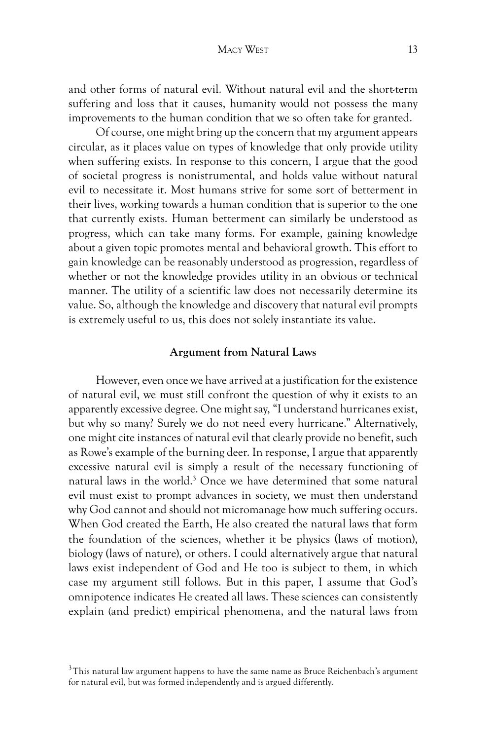and other forms of natural evil. Without natural evil and the short-term suffering and loss that it causes, humanity would not possess the many improvements to the human condition that we so often take for granted.

Of course, one might bring up the concern that my argument appears circular, as it places value on types of knowledge that only provide utility when suffering exists. In response to this concern, I argue that the good of societal progress is nonistrumental, and holds value without natural evil to necessitate it. Most humans strive for some sort of betterment in their lives, working towards a human condition that is superior to the one that currently exists. Human betterment can similarly be understood as progress, which can take many forms. For example, gaining knowledge about a given topic promotes mental and behavioral growth. This effort to gain knowledge can be reasonably understood as progression, regardless of whether or not the knowledge provides utility in an obvious or technical manner. The utility of a scientific law does not necessarily determine its value. So, although the knowledge and discovery that natural evil prompts is extremely useful to us, this does not solely instantiate its value.

## **Argument from Natural Laws**

However, even once we have arrived at a justification for the existence of natural evil, we must still confront the question of why it exists to an apparently excessive degree. One might say, "I understand hurricanes exist, but why so many? Surely we do not need every hurricane." Alternatively, one might cite instances of natural evil that clearly provide no benefit, such as Rowe's example of the burning deer. In response, I argue that apparently excessive natural evil is simply a result of the necessary functioning of natural laws in the world.<sup>3</sup> Once we have determined that some natural evil must exist to prompt advances in society, we must then understand why God cannot and should not micromanage how much suffering occurs. When God created the Earth, He also created the natural laws that form the foundation of the sciences, whether it be physics (laws of motion), biology (laws of nature), or others. I could alternatively argue that natural laws exist independent of God and He too is subject to them, in which case my argument still follows. But in this paper, I assume that God's omnipotence indicates He created all laws. These sciences can consistently explain (and predict) empirical phenomena, and the natural laws from

 $3$ This natural law argument happens to have the same name as Bruce Reichenbach's argument for natural evil, but was formed independently and is argued differently.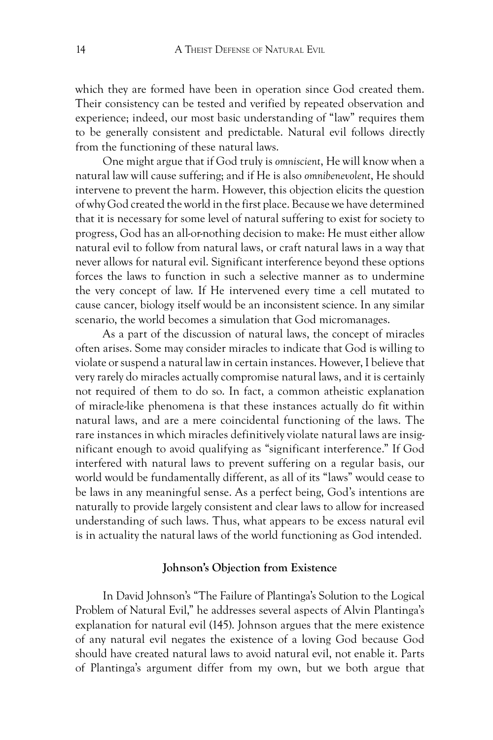which they are formed have been in operation since God created them. Their consistency can be tested and verified by repeated observation and experience; indeed, our most basic understanding of "law" requires them to be generally consistent and predictable. Natural evil follows directly from the functioning of these natural laws.

One might argue that if God truly is *omniscient*, He will know when a natural law will cause suffering; and if He is also *omnibenevolent*, He should intervene to prevent the harm. However, this objection elicits the question of why God created the world in the first place. Because we have determined that it is necessary for some level of natural suffering to exist for society to progress, God has an all-or-nothing decision to make: He must either allow natural evil to follow from natural laws, or craft natural laws in a way that never allows for natural evil. Significant interference beyond these options forces the laws to function in such a selective manner as to undermine the very concept of law. If He intervened every time a cell mutated to cause cancer, biology itself would be an inconsistent science. In any similar scenario, the world becomes a simulation that God micromanages.

As a part of the discussion of natural laws, the concept of miracles often arises. Some may consider miracles to indicate that God is willing to violate or suspend a natural law in certain instances. However, I believe that very rarely do miracles actually compromise natural laws, and it is certainly not required of them to do so. In fact, a common atheistic explanation of miracle-like phenomena is that these instances actually do fit within natural laws, and are a mere coincidental functioning of the laws. The rare instances in which miracles definitively violate natural laws are insignificant enough to avoid qualifying as "significant interference." If God interfered with natural laws to prevent suffering on a regular basis, our world would be fundamentally different, as all of its "laws" would cease to be laws in any meaningful sense. As a perfect being, God's intentions are naturally to provide largely consistent and clear laws to allow for increased understanding of such laws. Thus, what appears to be excess natural evil is in actuality the natural laws of the world functioning as God intended.

#### **Johnson's Objection from Existence**

In David Johnson's "The Failure of Plantinga's Solution to the Logical Problem of Natural Evil," he addresses several aspects of Alvin Plantinga's explanation for natural evil (145). Johnson argues that the mere existence of any natural evil negates the existence of a loving God because God should have created natural laws to avoid natural evil, not enable it. Parts of Plantinga's argument differ from my own, but we both argue that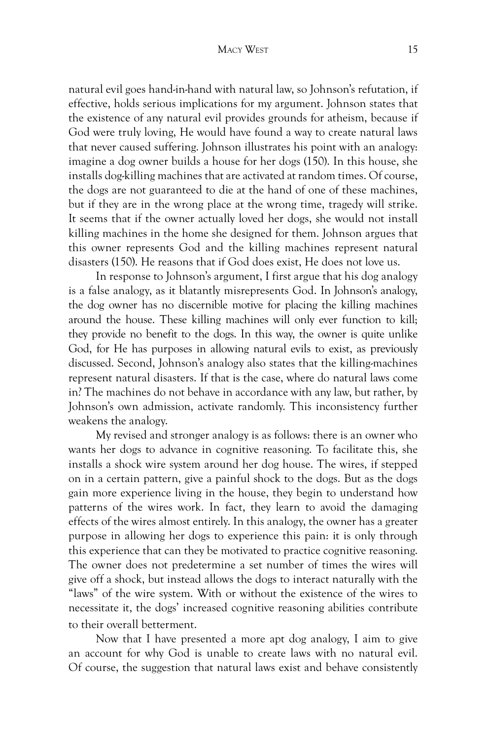natural evil goes hand-in-hand with natural law, so Johnson's refutation, if effective, holds serious implications for my argument. Johnson states that the existence of any natural evil provides grounds for atheism, because if God were truly loving, He would have found a way to create natural laws that never caused suffering. Johnson illustrates his point with an analogy: imagine a dog owner builds a house for her dogs (150). In this house, she installs dog-killing machines that are activated at random times. Of course, the dogs are not guaranteed to die at the hand of one of these machines, but if they are in the wrong place at the wrong time, tragedy will strike. It seems that if the owner actually loved her dogs, she would not install killing machines in the home she designed for them. Johnson argues that this owner represents God and the killing machines represent natural disasters (150). He reasons that if God does exist, He does not love us.

In response to Johnson's argument, I first argue that his dog analogy is a false analogy, as it blatantly misrepresents God. In Johnson's analogy, the dog owner has no discernible motive for placing the killing machines around the house. These killing machines will only ever function to kill; they provide no benefit to the dogs. In this way, the owner is quite unlike God, for He has purposes in allowing natural evils to exist, as previously discussed. Second, Johnson's analogy also states that the killing-machines represent natural disasters. If that is the case, where do natural laws come in? The machines do not behave in accordance with any law, but rather, by Johnson's own admission, activate randomly. This inconsistency further weakens the analogy.

My revised and stronger analogy is as follows: there is an owner who wants her dogs to advance in cognitive reasoning. To facilitate this, she installs a shock wire system around her dog house. The wires, if stepped on in a certain pattern, give a painful shock to the dogs. But as the dogs gain more experience living in the house, they begin to understand how patterns of the wires work. In fact, they learn to avoid the damaging effects of the wires almost entirely. In this analogy, the owner has a greater purpose in allowing her dogs to experience this pain: it is only through this experience that can they be motivated to practice cognitive reasoning. The owner does not predetermine a set number of times the wires will give off a shock, but instead allows the dogs to interact naturally with the "laws" of the wire system. With or without the existence of the wires to necessitate it, the dogs' increased cognitive reasoning abilities contribute to their overall betterment.

Now that I have presented a more apt dog analogy, I aim to give an account for why God is unable to create laws with no natural evil. Of course, the suggestion that natural laws exist and behave consistently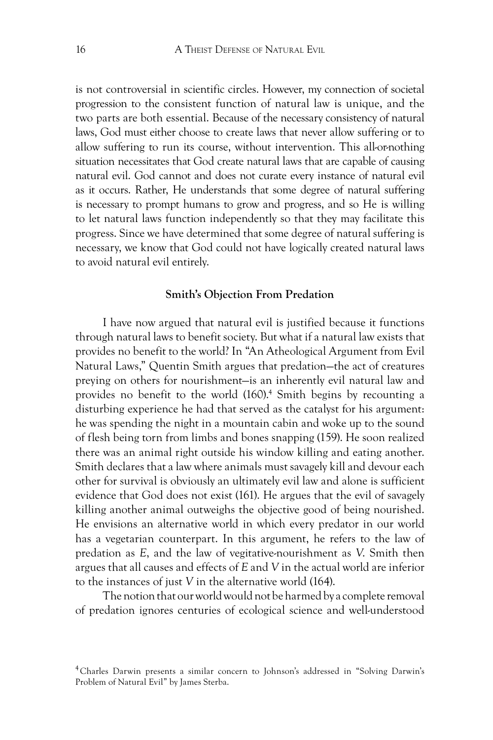is not controversial in scientific circles. However, my connection of societal progression to the consistent function of natural law is unique, and the two parts are both essential. Because of the necessary consistency of natural laws, God must either choose to create laws that never allow suffering or to allow suffering to run its course, without intervention. This all-or-nothing situation necessitates that God create natural laws that are capable of causing natural evil. God cannot and does not curate every instance of natural evil as it occurs. Rather, He understands that some degree of natural suffering is necessary to prompt humans to grow and progress, and so He is willing to let natural laws function independently so that they may facilitate this progress. Since we have determined that some degree of natural suffering is necessary, we know that God could not have logically created natural laws to avoid natural evil entirely.

#### **Smith's Objection From Predation**

I have now argued that natural evil is justified because it functions through natural laws to benefit society. But what if a natural law exists that provides no benefit to the world? In "An Atheological Argument from Evil Natural Laws," Quentin Smith argues that predation—the act of creatures preying on others for nourishment—is an inherently evil natural law and provides no benefit to the world (160). 4 Smith begins by recounting a disturbing experience he had that served as the catalyst for his argument: he was spending the night in a mountain cabin and woke up to the sound of flesh being torn from limbs and bones snapping (159). He soon realized there was an animal right outside his window killing and eating another. Smith declares that a law where animals must savagely kill and devour each other for survival is obviously an ultimately evil law and alone is sufficient evidence that God does not exist (161). He argues that the evil of savagely killing another animal outweighs the objective good of being nourished. He envisions an alternative world in which every predator in our world has a vegetarian counterpart. In this argument, he refers to the law of predation as *E*, and the law of vegitative-nourishment as *V*. Smith then argues that all causes and effects of *E* and *V* in the actual world are inferior to the instances of just *V* in the alternative world (164).

The notion that our world would not be harmed by a complete removal of predation ignores centuries of ecological science and well-understood

<sup>4</sup> Charles Darwin presents a similar concern to Johnson's addressed in "Solving Darwin's Problem of Natural Evil" by James Sterba.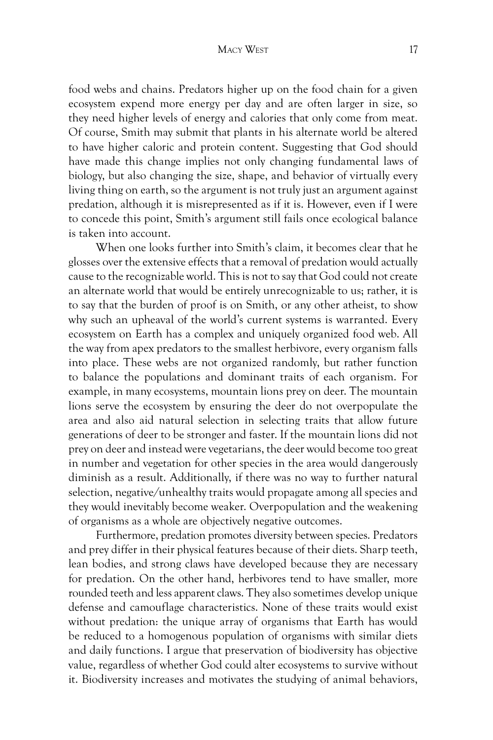#### Macy West 17

food webs and chains. Predators higher up on the food chain for a given ecosystem expend more energy per day and are often larger in size, so they need higher levels of energy and calories that only come from meat. Of course, Smith may submit that plants in his alternate world be altered to have higher caloric and protein content. Suggesting that God should have made this change implies not only changing fundamental laws of biology, but also changing the size, shape, and behavior of virtually every living thing on earth, so the argument is not truly just an argument against predation, although it is misrepresented as if it is. However, even if I were to concede this point, Smith's argument still fails once ecological balance is taken into account.

When one looks further into Smith's claim, it becomes clear that he glosses over the extensive effects that a removal of predation would actually cause to the recognizable world. This is not to say that God could not create an alternate world that would be entirely unrecognizable to us; rather, it is to say that the burden of proof is on Smith, or any other atheist, to show why such an upheaval of the world's current systems is warranted. Every ecosystem on Earth has a complex and uniquely organized food web. All the way from apex predators to the smallest herbivore, every organism falls into place. These webs are not organized randomly, but rather function to balance the populations and dominant traits of each organism. For example, in many ecosystems, mountain lions prey on deer. The mountain lions serve the ecosystem by ensuring the deer do not overpopulate the area and also aid natural selection in selecting traits that allow future generations of deer to be stronger and faster. If the mountain lions did not prey on deer and instead were vegetarians, the deer would become too great in number and vegetation for other species in the area would dangerously diminish as a result. Additionally, if there was no way to further natural selection, negative/unhealthy traits would propagate among all species and they would inevitably become weaker. Overpopulation and the weakening of organisms as a whole are objectively negative outcomes.

Furthermore, predation promotes diversity between species. Predators and prey differ in their physical features because of their diets. Sharp teeth, lean bodies, and strong claws have developed because they are necessary for predation. On the other hand, herbivores tend to have smaller, more rounded teeth and less apparent claws. They also sometimes develop unique defense and camouflage characteristics. None of these traits would exist without predation: the unique array of organisms that Earth has would be reduced to a homogenous population of organisms with similar diets and daily functions. I argue that preservation of biodiversity has objective value, regardless of whether God could alter ecosystems to survive without it. Biodiversity increases and motivates the studying of animal behaviors,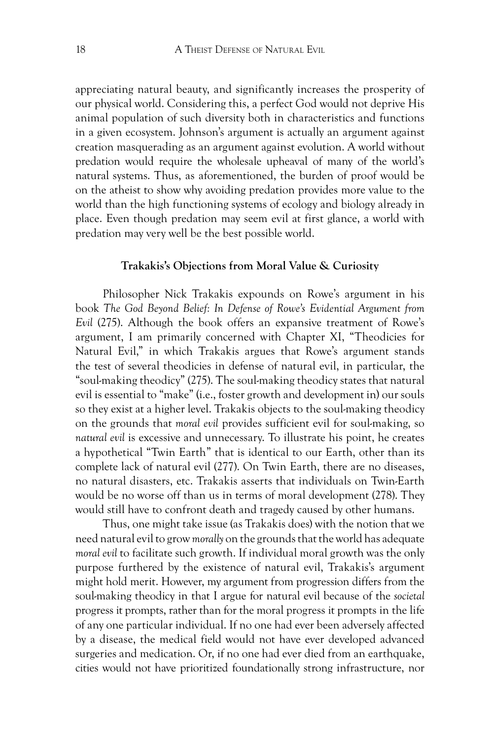appreciating natural beauty, and significantly increases the prosperity of our physical world. Considering this, a perfect God would not deprive His animal population of such diversity both in characteristics and functions in a given ecosystem. Johnson's argument is actually an argument against creation masquerading as an argument against evolution. A world without predation would require the wholesale upheaval of many of the world's natural systems. Thus, as aforementioned, the burden of proof would be on the atheist to show why avoiding predation provides more value to the world than the high functioning systems of ecology and biology already in place. Even though predation may seem evil at first glance, a world with predation may very well be the best possible world.

#### **Trakakis's Objections from Moral Value & Curiosity**

Philosopher Nick Trakakis expounds on Rowe's argument in his book *The God Beyond Belief: In Defense of Rowe's Evidential Argument from Evil* (275). Although the book offers an expansive treatment of Rowe's argument, I am primarily concerned with Chapter XI, "Theodicies for Natural Evil," in which Trakakis argues that Rowe's argument stands the test of several theodicies in defense of natural evil, in particular, the "soul-making theodicy" (275). The soul-making theodicy states that natural evil is essential to "make" (i.e., foster growth and development in) our souls so they exist at a higher level. Trakakis objects to the soul-making theodicy on the grounds that *moral evil* provides sufficient evil for soul-making, so *natural evil* is excessive and unnecessary. To illustrate his point, he creates a hypothetical "Twin Earth" that is identical to our Earth, other than its complete lack of natural evil (277). On Twin Earth, there are no diseases, no natural disasters, etc. Trakakis asserts that individuals on Twin-Earth would be no worse off than us in terms of moral development (278). They would still have to confront death and tragedy caused by other humans.

Thus, one might take issue (as Trakakis does) with the notion that we need natural evil to grow *morally* on the grounds that the world has adequate *moral evil* to facilitate such growth. If individual moral growth was the only purpose furthered by the existence of natural evil, Trakakis's argument might hold merit. However, my argument from progression differs from the soul-making theodicy in that I argue for natural evil because of the *societal* progress it prompts, rather than for the moral progress it prompts in the life of any one particular individual. If no one had ever been adversely affected by a disease, the medical field would not have ever developed advanced surgeries and medication. Or, if no one had ever died from an earthquake, cities would not have prioritized foundationally strong infrastructure, nor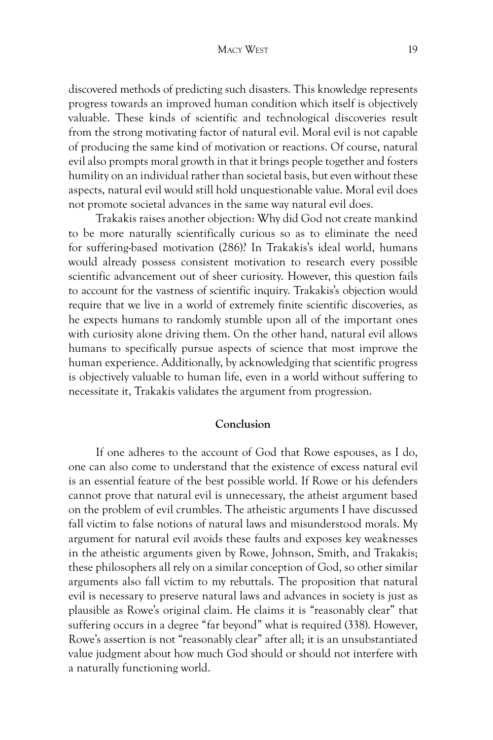discovered methods of predicting such disasters. This knowledge represents progress towards an improved human condition which itself is objectively valuable. These kinds of scientific and technological discoveries result from the strong motivating factor of natural evil. Moral evil is not capable of producing the same kind of motivation or reactions. Of course, natural evil also prompts moral growth in that it brings people together and fosters humility on an individual rather than societal basis, but even without these aspects, natural evil would still hold unquestionable value. Moral evil does not promote societal advances in the same way natural evil does.

Trakakis raises another objection: Why did God not create mankind to be more naturally scientifically curious so as to eliminate the need for suffering-based motivation (286)? In Trakakis's ideal world, humans would already possess consistent motivation to research every possible scientific advancement out of sheer curiosity. However, this question fails to account for the vastness of scientific inquiry. Trakakis's objection would require that we live in a world of extremely finite scientific discoveries, as he expects humans to randomly stumble upon all of the important ones with curiosity alone driving them. On the other hand, natural evil allows humans to specifically pursue aspects of science that most improve the human experience. Additionally, by acknowledging that scientific progress is objectively valuable to human life, even in a world without suffering to necessitate it, Trakakis validates the argument from progression.

# **Conclusion**

If one adheres to the account of God that Rowe espouses, as I do, one can also come to understand that the existence of excess natural evil is an essential feature of the best possible world. If Rowe or his defenders cannot prove that natural evil is unnecessary, the atheist argument based on the problem of evil crumbles. The atheistic arguments I have discussed fall victim to false notions of natural laws and misunderstood morals. My argument for natural evil avoids these faults and exposes key weaknesses in the atheistic arguments given by Rowe, Johnson, Smith, and Trakakis; these philosophers all rely on a similar conception of God, so other similar arguments also fall victim to my rebuttals. The proposition that natural evil is necessary to preserve natural laws and advances in society is just as plausible as Rowe's original claim. He claims it is "reasonably clear" that suffering occurs in a degree "far beyond" what is required (338). However, Rowe's assertion is not "reasonably clear" after all; it is an unsubstantiated value judgment about how much God should or should not interfere with a naturally functioning world.